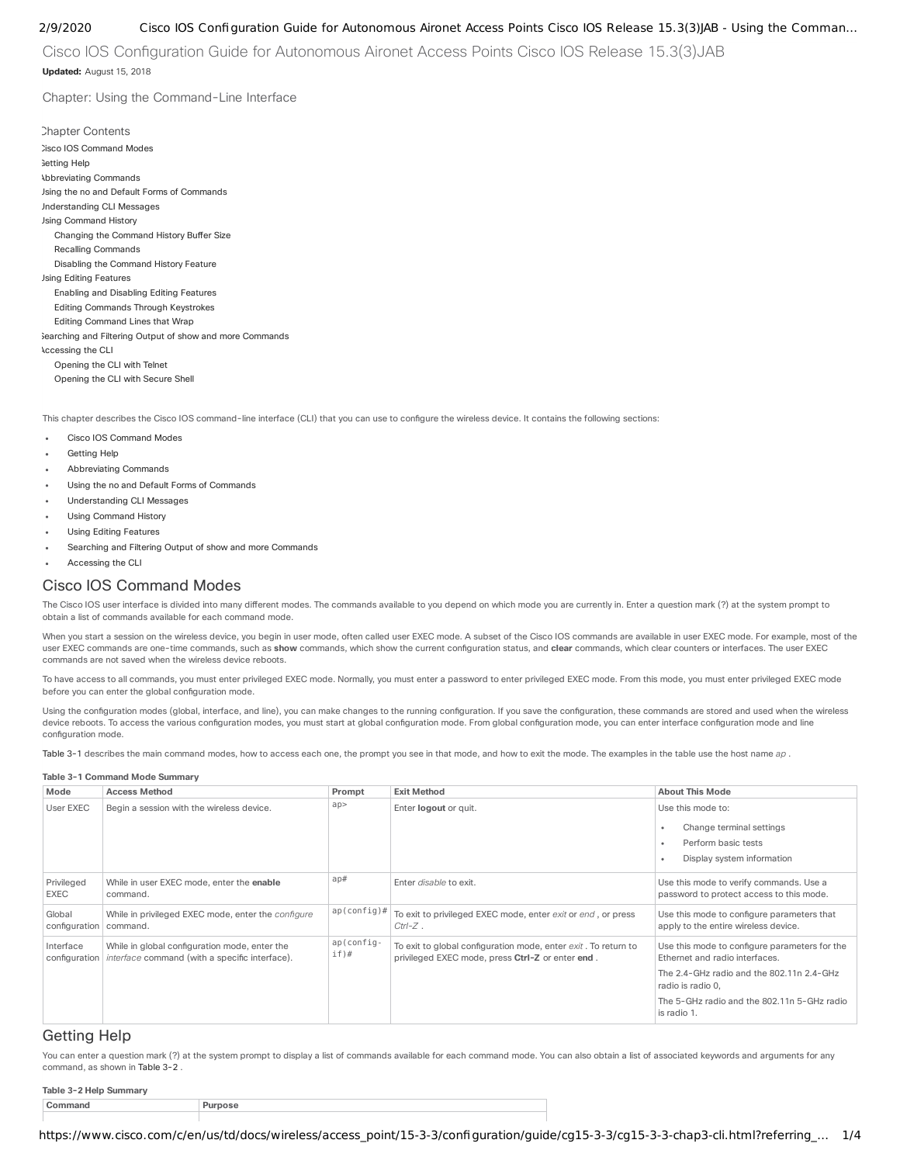Cisco IOS Configuration Guide for Autonomous Aironet Access Points Cisco IOS Release 15.3(3) JAB **Updated:** August 15, 2018

Chapter: Using the Command-Line Interface

**Chapter Contents** Cisco IOS [Command](#page-0-0) Modes detting Help [Abbreviating](#page-1-0) Commands Using the no and Default Forms of [Commands](#page-1-1) [Understanding](#page-1-2) CLI Messages Using [Command](#page-1-3) History Changing the [Command](#page-1-4) History Buffer Size Recalling [Commands](#page-1-5) Disabling the [Command](#page-2-0) History Feature Using Editing [Features](#page-2-1) Enabling and [Disabling](#page-2-2) Editing Features Editing [Commands](#page-2-3) Through Keystrokes Editing [Command](#page-3-0) Lines that Wrap Searching and Filtering Output of show and more [Commands](#page-3-1) [Accessing](#page-3-2) the CLI [Opening](#page-3-3) the CLI with Telnet [Opening](#page-3-4) the CLI with Secure Shell

This chapter describes the Cisco IOS command-line interface (CLI) that you can use to configure the wireless device. It contains the following sections:

- Cisco IOS [Command](#page-0-0) Modes  $\overline{a}$
- [Getting](#page-0-1) Help
- [Abbreviating](#page-1-0) Commands
- Using the no and Default Forms of [Commands](#page-1-1)
- [Understanding](#page-1-2) CLI Messages
- Using [Command](#page-1-3) History
- Using Editing [Features](#page-2-1)
- Searching and Filtering Output of show and more [Commands](#page-3-1)
- [Accessing](#page-3-2) the CLI

# <span id="page-0-0"></span>Cisco IOS Command Modes

The Cisco IOS user interface is divided into many different modes. The commands available to you depend on which mode you are currently in. Enter a question mark (?) at the system prompt to obtain a list of commands available for each command mode.

When you start a session on the wireless device, you begin in user mode, often called user EXEC mode. A subset of the Cisco IOS commands are available in user EXEC mode. For example, most of the user EXEC commands are one-time commands, such as **show** commands, which show the current conguration status, and **clear** commands, which clear counters or interfaces. The user EXEC commands are not saved when the wireless device reboots.

To have access to all commands, you must enter privileged EXEC mode. Normally, you must enter a password to enter privileged EXEC mode. From this mode, you must enter privileged EXEC mode before you can enter the global configuration mode.

Using the configuration modes (global, interface, and line), you can make changes to the running configuration. If you save the configuration, these commands are stored and used when the wireless device reboots. To access the various configuration modes, you must start at global configuration mode. From global configuration mode, you can enter interface configuration mode and line configuration mode

[Table](#page-0-2) 3-1 describes the main command modes, how to access each one, the prompt you see in that mode, and how to exit the mode. The examples in the table use the host name ap .

## <span id="page-0-2"></span>**Table 3-1 Command Mode Summary**

| Mode                               | <b>Access Method</b>                                                                                                 | Prompt                | <b>Exit Method</b>                                                                                                 | <b>About This Mode</b>                                                                                                                                                                                          |
|------------------------------------|----------------------------------------------------------------------------------------------------------------------|-----------------------|--------------------------------------------------------------------------------------------------------------------|-----------------------------------------------------------------------------------------------------------------------------------------------------------------------------------------------------------------|
| User EXEC                          | Begin a session with the wireless device.                                                                            | ap                    | Enter logout or quit.                                                                                              | Use this mode to:<br>Change terminal settings<br>Perform basic tests<br>Display system information                                                                                                              |
| Privileged<br>EXEC                 | While in user EXEC mode, enter the enable<br>command.                                                                | ap#                   | Enter disable to exit.                                                                                             | Use this mode to verify commands. Use a<br>password to protect access to this mode.                                                                                                                             |
| Global<br>configuration   command. | While in privileged EXEC mode, enter the <i>configure</i>                                                            | $ap (config)$ #       | To exit to privileged EXEC mode, enter exit or end, or press<br>$Ctrl-Z$ .                                         | Use this mode to configure parameters that<br>apply to the entire wireless device.                                                                                                                              |
| Interface                          | While in global configuration mode, enter the<br>configuration <i>interface</i> command (with a specific interface). | ap(config-<br>$if)$ # | To exit to global configuration mode, enter exit. To return to<br>privileged EXEC mode, press Ctrl-Z or enter end. | Use this mode to configure parameters for the<br>Ethernet and radio interfaces.<br>The 2.4-GHz radio and the 802.11n 2.4-GHz<br>radio is radio 0,<br>The 5-GHz radio and the 802.11n 5-GHz radio<br>is radio 1. |

## <span id="page-0-1"></span>Getting Help

You can enter a question mark (?) at the system prompt to display a list of commands available for each command mode. You can also obtain a list of associated keywords and arguments for any command, as shown in [Table](#page-0-3) 3-2 .

<span id="page-0-3"></span>

| Table 3-2 Help<br>mmarv |  |  |  |  |
|-------------------------|--|--|--|--|
|                         |  |  |  |  |
|                         |  |  |  |  |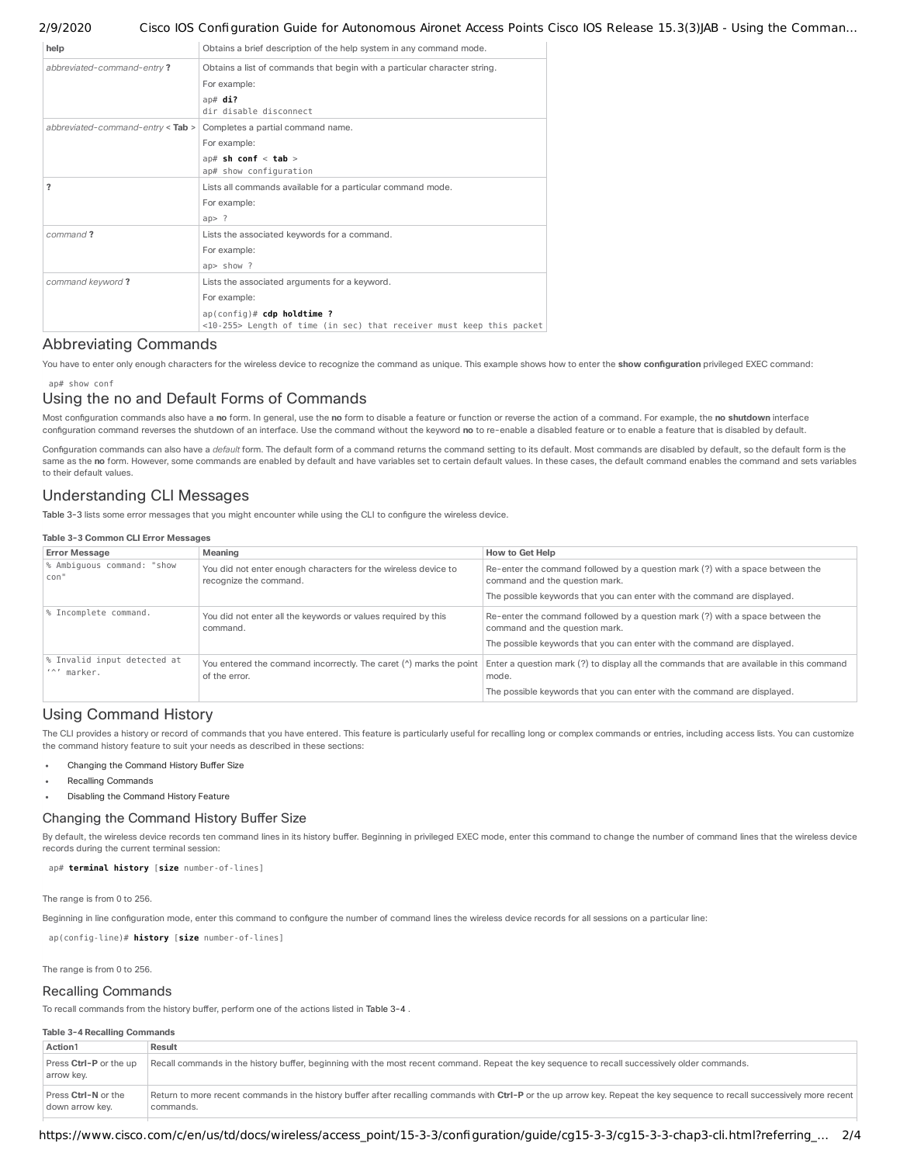| help                                  | Obtains a brief description of the help system in any command mode.       |  |  |
|---------------------------------------|---------------------------------------------------------------------------|--|--|
| abbreviated-command-entry?            | Obtains a list of commands that begin with a particular character string. |  |  |
|                                       | For example:                                                              |  |  |
|                                       | ap# $di$ ?                                                                |  |  |
|                                       | dir disable disconnect                                                    |  |  |
| abbreviated-command-entry $<$ Tab $>$ | Completes a partial command name.                                         |  |  |
|                                       | For example:                                                              |  |  |
|                                       | ap# sh conf $<$ tab $>$                                                   |  |  |
|                                       | ap# show configuration                                                    |  |  |
| ?                                     | Lists all commands available for a particular command mode.               |  |  |
|                                       | For example:                                                              |  |  |
|                                       | ap > ?                                                                    |  |  |
| command?                              | Lists the associated keywords for a command.                              |  |  |
|                                       | For example:                                                              |  |  |
|                                       | ap> show ?                                                                |  |  |
| command keyword?                      | Lists the associated arguments for a keyword.                             |  |  |
|                                       | For example:                                                              |  |  |
|                                       | $ap (config)$ # cdp holdtime ?                                            |  |  |
|                                       | <10-255> Length of time (in sec) that receiver must keep this packet      |  |  |

# <span id="page-1-0"></span>Abbreviating Commands

You have to enter only enough characters for the wireless device to recognize the command as unique. This example shows how to enter the show configuration privileged EXEC command:

## ap# show conf

# <span id="page-1-1"></span>Using the no and Default Forms of Commands

Most conguration commands also have a **no** form. In general, use the **no** form to disable a feature or function or reverse the action of a command. For example, the **no shutdown** interface conguration command reverses the shutdown of an interface. Use the command without the keyword **no** to re-enable a disabled feature or to enable a feature that is disabled by default.

Configuration commands can also have a *default* form. The default form of a command returns the command setting to its default. Most commands are disabled by default, so the default form is the same as the no form. However, some commands are enabled by default and have variables set to certain default values. In these cases, the default command enables the command and sets variables to their default values.

# <span id="page-1-2"></span>Understanding CLI Messages

[Table](#page-1-6) 3-3 lists some error messages that you might encounter while using the CLI to congure the wireless device.

## <span id="page-1-6"></span>**Table 3-3 Common CLI Error Messages**

| <b>Error Message</b>                                                        | Meaning                                                                                  | <b>How to Get Help</b>                                                                                                                                                         |  |  |  |
|-----------------------------------------------------------------------------|------------------------------------------------------------------------------------------|--------------------------------------------------------------------------------------------------------------------------------------------------------------------------------|--|--|--|
| % Ambiquous command: "show<br>con"                                          | You did not enter enough characters for the wireless device to<br>recognize the command. | Re-enter the command followed by a question mark (?) with a space between the<br>command and the question mark.                                                                |  |  |  |
|                                                                             |                                                                                          | The possible keywords that you can enter with the command are displayed.                                                                                                       |  |  |  |
| % Incomplete command.                                                       | You did not enter all the keywords or values required by this<br>command.                | Re-enter the command followed by a question mark (?) with a space between the<br>command and the question mark.                                                                |  |  |  |
|                                                                             |                                                                                          | The possible keywords that you can enter with the command are displayed.                                                                                                       |  |  |  |
| % Invalid input detected at<br>$\prime\land\prime$ marker.<br>of the error. |                                                                                          | You entered the command incorrectly. The caret ( $\land$ ) marks the point   Enter a question mark (?) to display all the commands that are available in this command<br>mode. |  |  |  |
|                                                                             |                                                                                          | The possible keywords that you can enter with the command are displayed.                                                                                                       |  |  |  |

# <span id="page-1-3"></span>Using Command History

The CLI provides a history or record of commands that you have entered. This feature is particularly useful for recalling long or complex commands or entries, including access lists. You can customize the command history feature to suit your needs as described in these sections:

- Changing the [Command](#page-1-4) History Buffer Size
- Recalling [Commands](#page-1-5)
- Disabling the [Command](#page-2-0) History Feature

## <span id="page-1-4"></span>Changing the Command History Buffer Size

By default, the wireless device records ten command lines in its history buffer. Beginning in privileged EXEC mode, enter this command to change the number of command lines that the wireless device records during the current terminal session:

ap# **terminal history** [**size** number-of-lines]

The range is from 0 to 256.

Beginning in line configuration mode, enter this command to configure the number of command lines the wireless device records for all sessions on a particular line:

ap(config-line)# **history** [**size** number-of-lines]

The range is from 0 to 256.

## <span id="page-1-5"></span>Recalling Commands

To recall commands from the history buffer, perform one of the actions listed in [Table](#page-1-7) 3-4.

## <span id="page-1-7"></span>**Table 3-4 Recalling Commands**

| Action1                                | Result                                                                                                                                                                                 |
|----------------------------------------|----------------------------------------------------------------------------------------------------------------------------------------------------------------------------------------|
| Press Ctrl-P or the up<br>arrow key.   | Recall commands in the history buffer, beginning with the most recent command. Repeat the key sequence to recall successively older commands.                                          |
| Press Ctrl-N or the<br>down arrow kev. | Return to more recent commands in the history buffer after recalling commands with Ctrl-P or the up arrow key. Repeat the key sequence to recall successively more recent<br>commands. |

https://www.cisco.com/c/en/us/td/docs/wireless/access\_point/15-3-3/configuration/guide/cg15-3-3/cg15-3-3-chap3-cli.html?referring\_… 2/4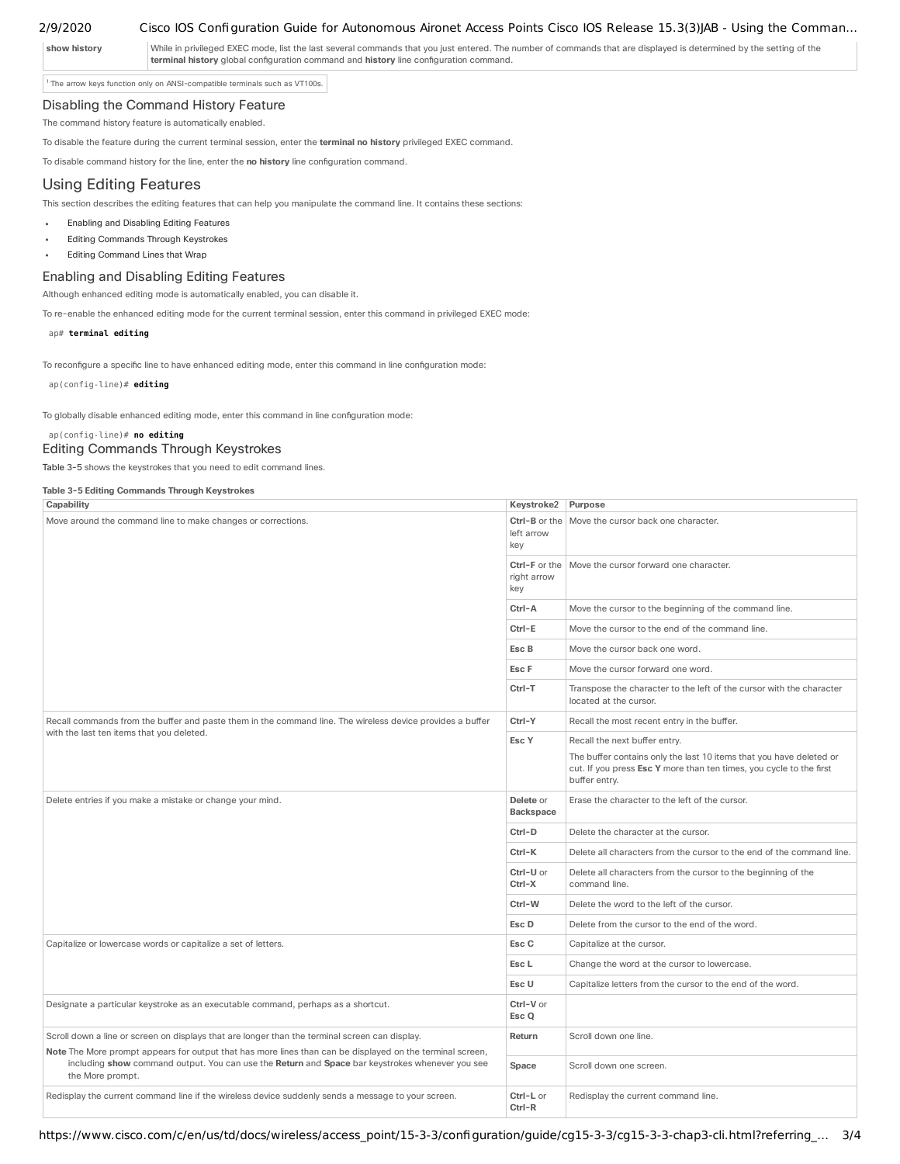show history While in privileged EXEC mode, list the last several commands that you just entered. The number of commands that are displayed is determined by the setting of the **terminal history** global configuration command and history line configuration command.

<span id="page-2-4"></span><sup>1</sup>The arrow keys function only on ANSI-compatible terminals such as VT100s.

## <span id="page-2-0"></span>Disabling the Command History Feature

The command history feature is automatically enabled.

To disable the feature during the current terminal session, enter the **terminal no history** privileged EXEC command.

To disable command history for the line, enter the **no history** line conguration command.

# <span id="page-2-1"></span>Using Editing Features

This section describes the editing features that can help you manipulate the command line. It contains these sections:

- Enabling and [Disabling](#page-2-2) Editing Features
- Editing [Commands](#page-2-3) Through Keystrokes
- Editing [Command](#page-3-0) Lines that Wrap

## <span id="page-2-2"></span>Enabling and Disabling Editing Features

Although enhanced editing mode is automatically enabled, you can disable it.

To re-enable the enhanced editing mode for the current terminal session, enter this command in privileged EXEC mode:

ap# **terminal editing**

To reconfigure a specific line to have enhanced editing mode, enter this command in line configuration mode:

ap(config-line)# **editing**

To globally disable enhanced editing mode, enter this command in line conguration mode:

## ap(config-line)# **no editing**

## <span id="page-2-3"></span>Editing Commands Through Keystrokes

[Table](#page-2-5) 3-5 shows the keystrokes that you need to edit command lines.

### <span id="page-2-5"></span>**Table 3-5 Editing Commands Through Keystrokes**

| Capability                                                                                                                                                                                                                                                                                                                         | Keystroke2 Purpose  |                                                                                                                                                             |
|------------------------------------------------------------------------------------------------------------------------------------------------------------------------------------------------------------------------------------------------------------------------------------------------------------------------------------|---------------------|-------------------------------------------------------------------------------------------------------------------------------------------------------------|
| Move around the command line to make changes or corrections.                                                                                                                                                                                                                                                                       |                     | <b>Ctrl-B</b> or the Move the cursor back one character.                                                                                                    |
|                                                                                                                                                                                                                                                                                                                                    | right arrow<br>key  | <b>Ctrl-F</b> or the   Move the cursor forward one character.                                                                                               |
|                                                                                                                                                                                                                                                                                                                                    | Ctrl-A              | Move the cursor to the beginning of the command line.                                                                                                       |
|                                                                                                                                                                                                                                                                                                                                    | Ctrl-E              | Move the cursor to the end of the command line.                                                                                                             |
| Esc B<br>Esc F<br>Ctrl-T                                                                                                                                                                                                                                                                                                           |                     | Move the cursor back one word.                                                                                                                              |
|                                                                                                                                                                                                                                                                                                                                    |                     | Move the cursor forward one word.                                                                                                                           |
|                                                                                                                                                                                                                                                                                                                                    |                     | Transpose the character to the left of the cursor with the character<br>located at the cursor.                                                              |
| Recall commands from the buffer and paste them in the command line. The wireless device provides a buffer                                                                                                                                                                                                                          |                     | Recall the most recent entry in the buffer.                                                                                                                 |
| with the last ten items that you deleted.                                                                                                                                                                                                                                                                                          | Esc Y               | Recall the next buffer entry.                                                                                                                               |
|                                                                                                                                                                                                                                                                                                                                    |                     | The buffer contains only the last 10 items that you have deleted or<br>cut. If you press Esc Y more than ten times, you cycle to the first<br>buffer entry. |
| Delete entries if you make a mistake or change your mind.                                                                                                                                                                                                                                                                          |                     | Erase the character to the left of the cursor.                                                                                                              |
|                                                                                                                                                                                                                                                                                                                                    | Ctrl-D              | Delete the character at the cursor.                                                                                                                         |
|                                                                                                                                                                                                                                                                                                                                    | Ctrl-K              | Delete all characters from the cursor to the end of the command line.                                                                                       |
|                                                                                                                                                                                                                                                                                                                                    | Ctrl-U or<br>Ctrl-X | Delete all characters from the cursor to the beginning of the<br>command line.                                                                              |
|                                                                                                                                                                                                                                                                                                                                    | Ctrl-W              | Delete the word to the left of the cursor.                                                                                                                  |
|                                                                                                                                                                                                                                                                                                                                    | Esc D               | Delete from the cursor to the end of the word.                                                                                                              |
| Capitalize or lowercase words or capitalize a set of letters.                                                                                                                                                                                                                                                                      | Esc C               | Capitalize at the cursor.                                                                                                                                   |
|                                                                                                                                                                                                                                                                                                                                    | Esc <sub>L</sub>    | Change the word at the cursor to lowercase.                                                                                                                 |
|                                                                                                                                                                                                                                                                                                                                    |                     | Capitalize letters from the cursor to the end of the word.                                                                                                  |
| Designate a particular keystroke as an executable command, perhaps as a shortcut.                                                                                                                                                                                                                                                  | Ctrl-V or<br>Esc Q  |                                                                                                                                                             |
| Scroll down a line or screen on displays that are longer than the terminal screen can display.<br>Note The More prompt appears for output that has more lines than can be displayed on the terminal screen,<br>including show command output. You can use the Return and Space bar keystrokes whenever you see<br>the More prompt. |                     | Scroll down one line.                                                                                                                                       |
|                                                                                                                                                                                                                                                                                                                                    |                     | Scroll down one screen.                                                                                                                                     |
| Redisplay the current command line if the wireless device suddenly sends a message to your screen.                                                                                                                                                                                                                                 | Ctrl-L or<br>Ctrl-R | Redisplay the current command line.                                                                                                                         |